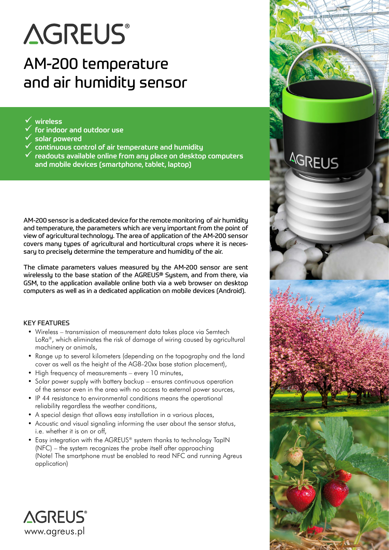# **AGREUS®**

## AM-200 temperature and air humidity sensor

- $\checkmark$  wireless
- 9 for indoor and outdoor use
- $\sigma$  solar powered
- 9 continuous control of air temperature and humidity
- 9 readouts available online from any place on desktop computers and mobile devices (smartphone, tablet, laptop)

AM-200 sensor is a dedicated device for the remote monitoring of air humidity and temperature, the parameters which are very important from the point of view of agricultural technology. The area of application of the AM-200 sensor covers many types of agricultural and horticultural crops where it is necessary to precisely determine the temperature and humidity of the air.

The climate parameters values measured by the AM-200 sensor are sent wirelessly to the base station of the AGREUS® System, and from there, via GSM, to the application available online both via a web browser on desktop computers as well as in a dedicated application on mobile devices (Android).

#### KEY FEATURES

- Wireless transmission of measurement data takes place via Semtech LoRa®, which eliminates the risk of damage of wiring caused by agricultural machinery or animals,
- Range up to several kilometers (depending on the topography and the land cover as well as the height of the AGB-20xx base station placement),
- High frequency of measurements every 10 minutes,
- Solar power supply with battery backup ensures continuous operation of the sensor even in the area with no access to external power sources,
- IP 44 resistance to environmental conditions means the operational reliability regardless the weather conditions,
- A special design that allows easy installation in a various places,
- Acoustic and visual signaling informing the user about the sensor status, i.e. whether it is on or off,
- Easy integration with the AGREUS® system thanks to technology TapIN (NFC) – the system recognizes the probe itself after approaching (Note! The smartphone must be enabled to read NFC and running Agreus application)